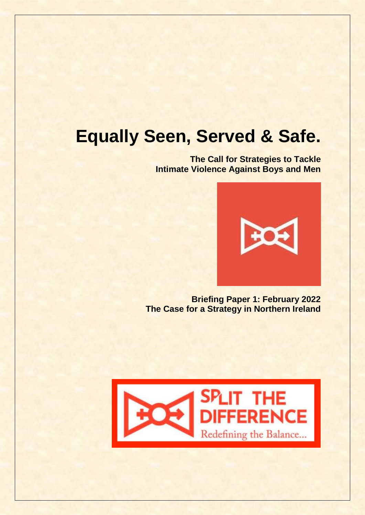# **Equally Seen, Served & Safe.**

**The Call for Strategies to Tackle Intimate Violence Against Boys and Men** 



**Briefing Paper 1: February 2022 The Case for a Strategy in Northern Ireland**

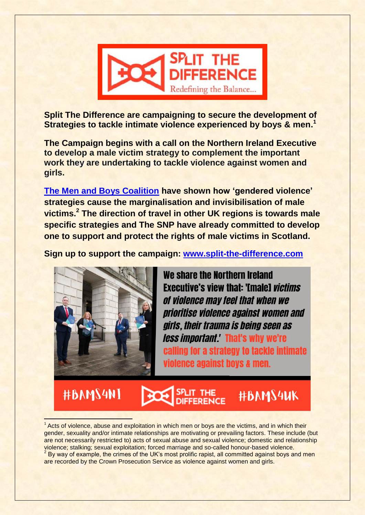

**Split The Difference are campaigning to secure the development of Strategies to tackle intimate violence experienced by boys & men. 1**

**The Campaign begins with a call on the Northern Ireland Executive to develop a male victim strategy to complement the important work they are undertaking to tackle violence against women and girls.** 

**[The Men and Boys Coalition](https://www.menandboyscoalition.org.uk/wp-content/uploads/2020/11/IVAMB-Briefing-Final-Oct2020-.pdf) have shown how 'gendered violence' strategies cause the marginalisation and invisibilisation of male victims.<sup>2</sup> The direction of travel in other UK regions is towards male specific strategies and The SNP have already committed to develop one to support and protect the rights of male victims in Scotland.**

**Sign up to support the campaign: [www.split-the-difference.com](http://www.split-the-difference.com/)**



We share the Northern Ireland **Executive's view that: 'Imale1** *victims* of violence may feel that when we *Drioritise violence against women and* girls, their trauma is being seen as *less important.'* That's why we're calling for a strategy to tackle intimate violence against boys & men.

### **#BAMS4NI** E #BAMS4UK

 $\overline{\phantom{a}}$ <sup>1</sup> Acts of violence, abuse and exploitation in which men or boys are the victims, and in which their gender, sexuality and/or intimate relationships are motivating or prevailing factors. These include (but are not necessarily restricted to) acts of sexual abuse and sexual violence; domestic and relationship violence; stalking; sexual exploitation; forced marriage and so-called honour-based violence.  $2$  By way of example, the crimes of the UK's most prolific rapist, all committed against boys and men

are recorded by the Crown Prosecution Service as violence against women and girls.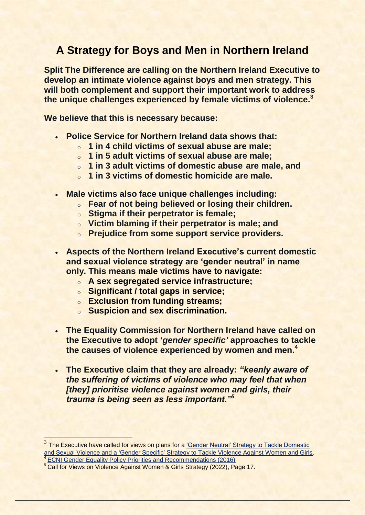### **A Strategy for Boys and Men in Northern Ireland**

**Split The Difference are calling on the Northern Ireland Executive to develop an intimate violence against boys and men strategy. This will both complement and support their important work to address the unique challenges experienced by female victims of violence.<sup>3</sup>** 

**We believe that this is necessary because:**

- **Police Service for Northern Ireland data shows that:**
	- o **1 in 4 child victims of sexual abuse are male;**
	- o **1 in 5 adult victims of sexual abuse are male;**
	- o **1 in 3 adult victims of domestic abuse are male, and**
	- o **1 in 3 victims of domestic homicide are male.**
- **Male victims also face unique challenges including:**
	- o **Fear of not being believed or losing their children.**
	- o **Stigma if their perpetrator is female;**
	- o **Victim blaming if their perpetrator is male; and**
	- o **Prejudice from some support service providers.**
- **Aspects of the Northern Ireland Executive's current domestic and sexual violence strategy are 'gender neutral' in name only. This means male victims have to navigate:**
	- o **A sex segregated service infrastructure;**
	- o **Significant / total gaps in service;**
	- o **Exclusion from funding streams;**
	- o **Suspicion and sex discrimination.**
- **The Equality Commission for Northern Ireland have called on the Executive to adopt '***gender specific'* **approaches to tackle the causes of violence experienced by women and men. 4**
- **The Executive claim that they are already:** *"keenly aware of the suffering of victims of violence who may feel that when [they] prioritise violence against women and girls, their trauma is being seen as less important."<sup>5</sup>*

 $\overline{\phantom{a}}$ 

<sup>&</sup>lt;sup>3</sup> The Executive have called for views on plans for a 'Gender Neutral' Strategy to Tackle Domestic [and Sexual Violence and a 'Gender Specific' Strategy to Tackle Violence Against Women and Girls.](https://consultations.nidirect.gov.uk/doj/call-for-views-dsa-strategy-vawg-strategy-response/) 4 [ECNI Gender Equality Policy Priorities and Recommendations \(2016\)](https://www.equalityni.org/ECNI/media/ECNI/Publications/Delivering%20Equality/GenderPolicyPriorities-Full.pdf)

<sup>&</sup>lt;sup>5</sup> Call for Views on Violence Against Women & Girls Strategy (2022), Page 17.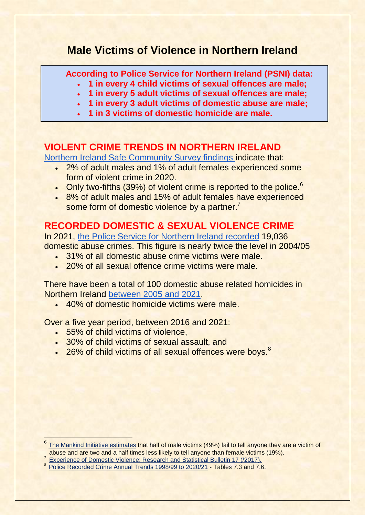### **Male Victims of Violence in Northern Ireland**

**According to Police Service for Northern Ireland (PSNI) data:**

- **1 in every 4 child victims of sexual offences are male;**
- **1 in every 5 adult victims of sexual offences are male;**
- **1 in every 3 adult victims of domestic abuse are male;**
- **1 in 3 victims of domestic homicide are male.**

### **VIOLENT CRIME TRENDS IN NORTHERN IRELAND**

[Northern Ireland Safe Community Survey findings i](https://www.justice-ni.gov.uk/publications/experience-crime-findings-201920-northern-ireland-safe-community-survey)ndicate that:

- 2% of adult males and 1% of adult females experienced some form of violent crime in 2020.
- Only two-fifths (39%) of violent crime is reported to the police.<sup>6</sup>
- 8% of adult males and 15% of adult females have experienced some form of domestic violence by a partner.<sup>7</sup>

### **RECORDED DOMESTIC & SEXUAL VIOLENCE CRIME**

In 2021, [the Police Service for Northern Ireland recorded](https://www.psni.police.uk/globalassets/inside-the-psni/our-statistics/domestic-abuse-statistics/2020-21/domestic-abuse-incidents-and-crimes-in-northern-ireland-2004-05-to-2020-21.pdf) 19,036 domestic abuse crimes. This figure is nearly twice the level in 2004/05

- 31% of all domestic abuse crime victims were male.
- . 20% of all sexual offence crime victims were male.

There have been a total of 100 domestic abuse related homicides in Northern Ireland [between 2005 and 2021.](https://www.psni.police.uk/inside-psni/Statistics/police-recorded-crime-statistics/)

 $\cdot$  40% of domestic homicide victims were male.

Over a five year period, between 2016 and 2021:

• 55% of child victims of violence.

 $\overline{\phantom{a}}$ 

- 30% of child victims of sexual assault, and
- 26% of child victims of all sexual offences were boys.<sup>8</sup>

7 [Experience of Domestic Violence: Research and Statistical Bulletin 17 \(/2017\).](https://www.justice-ni.gov.uk/sites/default/files/publications/justice/experience-of-domestic-violence-findings-201112-201516-northern-rreland-crime-surveys.pdf)

<sup>6</sup> [The Mankind Initiative estimates](https://www.mankind.org.uk/statistics/statistics-on-male-victims-of-domestic-abuse/) that half of male victims (49%) fail to tell anyone they are a victim of abuse and are two and a half times less likely to tell anyone than female victims (19%).

<sup>&</sup>lt;sup>8</sup> [Police Recorded Crime Annual Trends 1998/99 to 2020/21](https://www.psni.police.uk/inside-psni/Statistics/police-recorded-crime-statistics/) - Tables 7.3 and 7.6.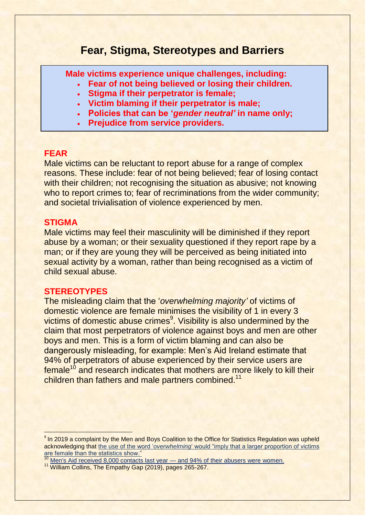### **Fear, Stigma, Stereotypes and Barriers**

**Male victims experience unique challenges, including:**

- **Fear of not being believed or losing their children.**
	- **Stigma if their perpetrator is female;**
	- **Victim blaming if their perpetrator is male;**
	- **Policies that can be '***gender neutral'* **in name only;**
	- **Prejudice from service providers.**

#### **FEAR**

Male victims can be reluctant to report abuse for a range of complex reasons. These include: fear of not being believed; fear of losing contact with their children; not recognising the situation as abusive; not knowing who to report crimes to; fear of recriminations from the wider community; and societal trivialisation of violence experienced by men.

#### **STIGMA**

1

Male victims may feel their masculinity will be diminished if they report abuse by a woman; or their sexuality questioned if they report rape by a man; or if they are young they will be perceived as being initiated into sexual activity by a woman, rather than being recognised as a victim of child sexual abuse.

#### **STEREOTYPES**

The misleading claim that the '*overwhelming majority'* of victims of domestic violence are female minimises the visibility of 1 in every 3 victims of domestic abuse crimes<sup>9</sup>. Visibility is also undermined by the claim that most perpetrators of violence against boys and men are other boys and men. This is a form of victim blaming and can also be dangerously misleading, for example: Men's Aid Ireland estimate that 94% of perpetrators of abuse experienced by their service users are  $f$ emale<sup>10</sup> and research indicates that mothers are more likely to kill their children than fathers and male partners combined.<sup>11</sup>

<sup>&</sup>lt;sup>9</sup> In 2019 a complaint by the Men and Boys Coalition to the Office for Statistics Regulation was upheld acknowledging that the use of the word '*overwhelming*[' would "imply that a larger proportion of victims](https://www.menandboyscoalition.org.uk/newsevents/stats-watchdog-upholds-mbc-complaint-over-governments-misleading-description-of-proportion-of-domestic-abuse-victims-who-are-female/)  [are female than the statistics show."](https://www.menandboyscoalition.org.uk/newsevents/stats-watchdog-upholds-mbc-complaint-over-governments-misleading-description-of-proportion-of-domestic-abuse-victims-who-are-female/)

[Men's Aid received 8,000 contacts last year —](https://www.irishexaminer.com/news/arid-40776516.html) and 94% of their abusers were women.

<sup>&</sup>lt;sup>11</sup> William Collins, The Empathy Gap (2019), pages 265-267.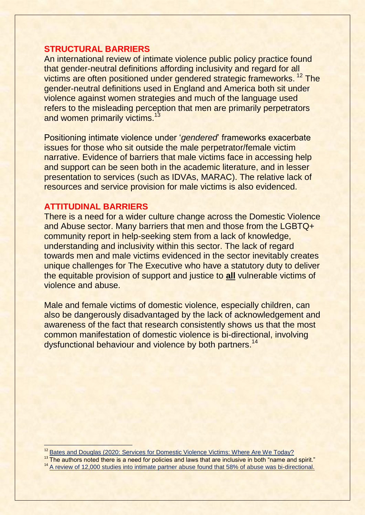### **STRUCTURAL BARRIERS**

An international review of intimate violence public policy practice found that gender-neutral definitions affording inclusivity and regard for all victims are often positioned under gendered strategic frameworks.<sup>12</sup> The gender-neutral definitions used in England and America both sit under violence against women strategies and much of the language used refers to the misleading perception that men are primarily perpetrators and women primarily victims.<sup>13</sup>

Positioning intimate violence under '*gendered*' frameworks exacerbate issues for those who sit outside the male perpetrator/female victim narrative. Evidence of barriers that male victims face in accessing help and support can be seen both in the academic literature, and in lesser presentation to services (such as IDVAs, MARAC). The relative lack of resources and service provision for male victims is also evidenced.

#### **ATTITUDINAL BARRIERS**

 $\overline{\phantom{a}}$ 

There is a need for a wider culture change across the Domestic Violence and Abuse sector. Many barriers that men and those from the LGBTQ+ community report in help-seeking stem from a lack of knowledge, understanding and inclusivity within this sector. The lack of regard towards men and male victims evidenced in the sector inevitably creates unique challenges for The Executive who have a statutory duty to deliver the equitable provision of support and justice to **all** vulnerable victims of violence and abuse.

Male and female victims of domestic violence, especially children, can also be dangerously disadvantaged by the lack of acknowledgement and awareness of the fact that research consistently shows us that the most common manifestation of domestic violence is bi-directional, involving dysfunctional behaviour and violence by both partners.<sup>14</sup>

<sup>&</sup>lt;sup>12</sup> [Bates and Douglas \(2020: Services for Domestic Violence Victims: Where Are We Today?](https://www.researchgate.net/publication/345195925_Services_for_Domestic_Violence_Victims_in_the_United_Kingdom_and_United_States_Where_Are_We_Today)

<sup>&</sup>lt;sup>13</sup> The authors noted there is a need for policies and laws that are inclusive in both "name and spirit."

<sup>&</sup>lt;sup>14</sup> [A review of 12,000 studies into intimate partner abuse found that 58% of abuse was bi-directional.](https://domesticviolenceresearch.org/domestic-violence-facts-and-statistics-at-a-glance/)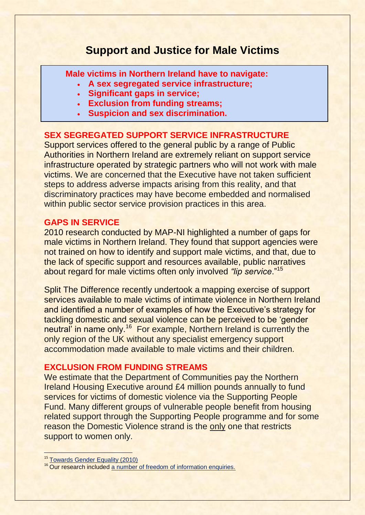### **Support and Justice for Male Victims**

**Male victims in Northern Ireland have to navigate:**

- **A sex segregated service infrastructure;**
- **Significant gaps in service;**
- **Exclusion from funding streams;**
- **Suspicion and sex discrimination.**

### **SEX SEGREGATED SUPPORT SERVICE INFRASTRUCTURE**

Support services offered to the general public by a range of Public Authorities in Northern Ireland are extremely reliant on support service infrastructure operated by strategic partners who will not work with male victims. We are concerned that the Executive have not taken sufficient steps to address adverse impacts arising from this reality, and that discriminatory practices may have become embedded and normalised within public sector service provision practices in this area.

### **GAPS IN SERVICE**

2010 research conducted by MAP-NI highlighted a number of gaps for male victims in Northern Ireland. They found that support agencies were not trained on how to identify and support male victims, and that, due to the lack of specific support and resources available, public narratives about regard for male victims often only involved *"lip service*." 15

Split The Difference recently undertook a mapping exercise of support services available to male victims of intimate violence in Northern Ireland and identified a number of examples of how the Executive's strategy for tackling domestic and sexual violence can be perceived to be 'gender neutral' in name only.<sup>16</sup> For example, Northern Ireland is currently the only region of the UK without any specialist emergency support accommodation made available to male victims and their children.

### **EXCLUSION FROM FUNDING STREAMS**

We estimate that the Department of Communities pay the Northern Ireland Housing Executive around £4 million pounds annually to fund services for victims of domestic violence via the Supporting People Fund. Many different groups of vulnerable people benefit from housing related support through the Supporting People programme and for some reason the Domestic Violence strand is the only one that restricts support to women only.

 $\overline{a}$ <sup>15</sup> [Towards Gender Equality \(2010\)](http://www.mapni.co.uk/ucontrol/resources/researchreport-1.pdf)

<sup>&</sup>lt;sup>16</sup> Our research included [a number of freedom of information enquiries.](https://www.whatdotheyknow.com/user/alex_patterson)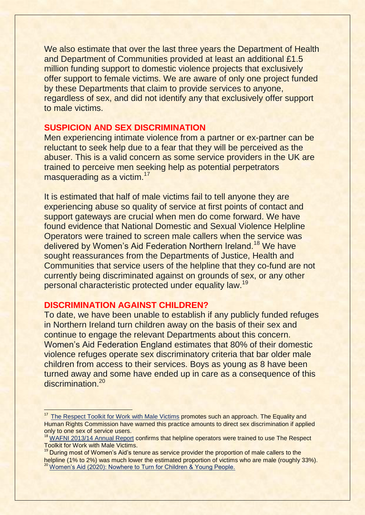We also estimate that over the last three years the Department of Health and Department of Communities provided at least an additional £1.5 million funding support to domestic violence projects that exclusively offer support to female victims. We are aware of only one project funded by these Departments that claim to provide services to anyone, regardless of sex, and did not identify any that exclusively offer support to male victims.

#### **SUSPICION AND SEX DISCRIMINATION**

Men experiencing intimate violence from a partner or ex-partner can be reluctant to seek help due to a fear that they will be perceived as the abuser. This is a valid concern as some service providers in the UK are trained to perceive men seeking help as potential perpetrators masquerading as a victim.<sup>17</sup>

It is estimated that half of male victims fail to tell anyone they are experiencing abuse so quality of service at first points of contact and support gateways are crucial when men do come forward. We have found evidence that National Domestic and Sexual Violence Helpline Operators were trained to screen male callers when the service was delivered by Women's Aid Federation Northern Ireland.<sup>18</sup> We have sought reassurances from the Departments of Justice, Health and Communities that service users of the helpline that they co-fund are not currently being discriminated against on grounds of sex, or any other personal characteristic protected under equality law.<sup>19</sup>

#### **DISCRIMINATION AGAINST CHILDREN?**

 $\overline{a}$ 

To date, we have been unable to establish if any publicly funded refuges in Northern Ireland turn children away on the basis of their sex and continue to engage the relevant Departments about this concern. Women's Aid Federation England estimates that 80% of their domestic violence refuges operate sex discriminatory criteria that bar older male children from access to their services. Boys as young as 8 have been turned away and some have ended up in care as a consequence of this discrimination.<sup>20</sup>

<sup>&</sup>lt;sup>17</sup> The [Respect Toolkit for Work with Male Victims](https://www.respect.uk.net/resources/19-respect-toolkit-for-work-with-male-victims-of-domestic-abuse) promotes such an approach. The Equality and Human Rights Commission have warned this practice amounts to direct sex discrimination if applied only to one sex of service users.

<sup>&</sup>lt;sup>18</sup> [WAFNI 2013/14 Annual Report](https://www.womensaidni.org/assets/uploads/2014/12/our-annual-report-for-2013-14-is-now-online/Womens-Aid-Annual-Report-2013-14.pdf) confirms that helpline operators were trained to use The Respect Toolkit for Work with Male Victims.

<sup>&</sup>lt;sup>19</sup> During most of Women's Aid's tenure as service provider the proportion of male callers to the helpline (1% to 2%) was much lower the estimated proportion of victims who are male (roughly 33%). <sup>20</sup> [Women's Aid \(2020\): Nowhere to Turn for Children & Young People.](https://www.womensaid.org.uk/wp-content/uploads/2021/09/Nowhere-to-Turn-for-Children-and-Young-People-Revised-2021.pdf)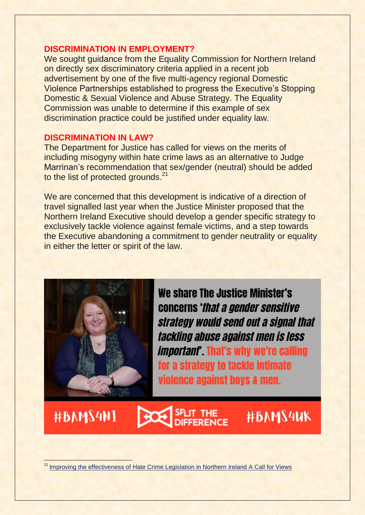#### **DISCRIMINATION IN EMPLOYMENT?**

We sought guidance from the Equality Commission for Northern Ireland on directly sex discriminatory criteria applied in a recent job advertisement by one of the five multi-agency regional Domestic Violence Partnerships established to progress the Executive's Stopping Domestic & Sexual Violence and Abuse Strategy. The Equality Commission was unable to determine if this example of sex discrimination practice could be justified under equality law.

#### **DISCRIMINATION IN LAW?**

The Department for Justice has called for views on the merits of including misogyny within hate crime laws as an alternative to Judge Marrinan's recommendation that sex/gender (neutral) should be added to the list of protected grounds.<sup>21</sup>

We are concerned that this development is indicative of a direction of travel signalled last year when the Justice Minister proposed that the Northern Ireland Executive should develop a gender specific strategy to exclusively tackle violence against female victims, and a step towards the Executive abandoning a commitment to gender neutrality or equality in either the letter or spirit of the law.



We share The Justice Minister's concerns 'that a gender sensitive strategy would send out a signal that tackling abuse against men is less *important*. That's why we're calling for a strategy to tackle intimate violence against boys & men.

#BAMS4NI

 $\overline{\phantom{a}}$ 



## **#BAMS4UK**

<sup>21</sup> [Improving the effectiveness of Hate Crime Legislation in Northern Ireland A Call for Views](https://www.justice-ni.gov.uk/sites/default/files/consultations/justice/hate%20crime%20legislation%20consultation.pdf)